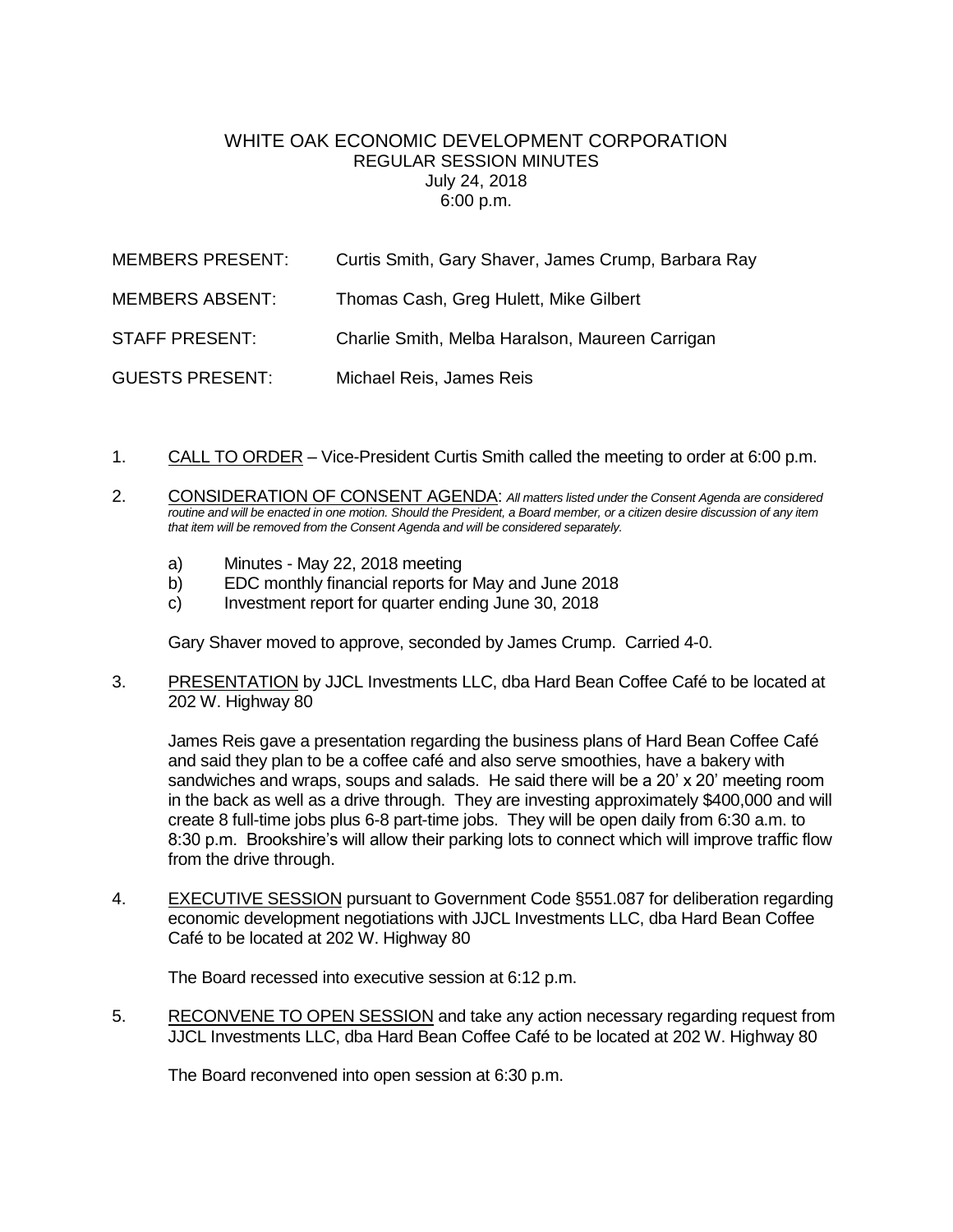## WHITE OAK FCONOMIC DEVELOPMENT CORPORATION REGULAR SESSION MINUTES July 24, 2018 6:00 p.m.

| <b>MEMBERS PRESENT:</b> | Curtis Smith, Gary Shaver, James Crump, Barbara Ray |
|-------------------------|-----------------------------------------------------|
| <b>MEMBERS ABSENT:</b>  | Thomas Cash, Greg Hulett, Mike Gilbert              |
| <b>STAFF PRESENT:</b>   | Charlie Smith, Melba Haralson, Maureen Carrigan     |
| <b>GUESTS PRESENT:</b>  | Michael Reis, James Reis                            |

- 1. CALL TO ORDER Vice-President Curtis Smith called the meeting to order at 6:00 p.m.
- 2. CONSIDERATION OF CONSENT AGENDA: *All matters listed under the Consent Agenda are considered routine and will be enacted in one motion. Should the President, a Board member, or a citizen desire discussion of any item that item will be removed from the Consent Agenda and will be considered separately.*
	- a) Minutes May 22, 2018 meeting
	- b) EDC monthly financial reports for May and June 2018
	- c) Investment report for quarter ending June 30, 2018

Gary Shaver moved to approve, seconded by James Crump. Carried 4-0.

3. PRESENTATION by JJCL Investments LLC, dba Hard Bean Coffee Café to be located at 202 W. Highway 80

James Reis gave a presentation regarding the business plans of Hard Bean Coffee Café and said they plan to be a coffee café and also serve smoothies, have a bakery with sandwiches and wraps, soups and salads. He said there will be a 20' x 20' meeting room in the back as well as a drive through. They are investing approximately \$400,000 and will create 8 full-time jobs plus 6-8 part-time jobs. They will be open daily from 6:30 a.m. to 8:30 p.m. Brookshire's will allow their parking lots to connect which will improve traffic flow from the drive through.

4. EXECUTIVE SESSION pursuant to Government Code §551.087 for deliberation regarding economic development negotiations with JJCL Investments LLC, dba Hard Bean Coffee Café to be located at 202 W. Highway 80

The Board recessed into executive session at 6:12 p.m.

5. RECONVENE TO OPEN SESSION and take any action necessary regarding request from JJCL Investments LLC, dba Hard Bean Coffee Café to be located at 202 W. Highway 80

The Board reconvened into open session at 6:30 p.m.